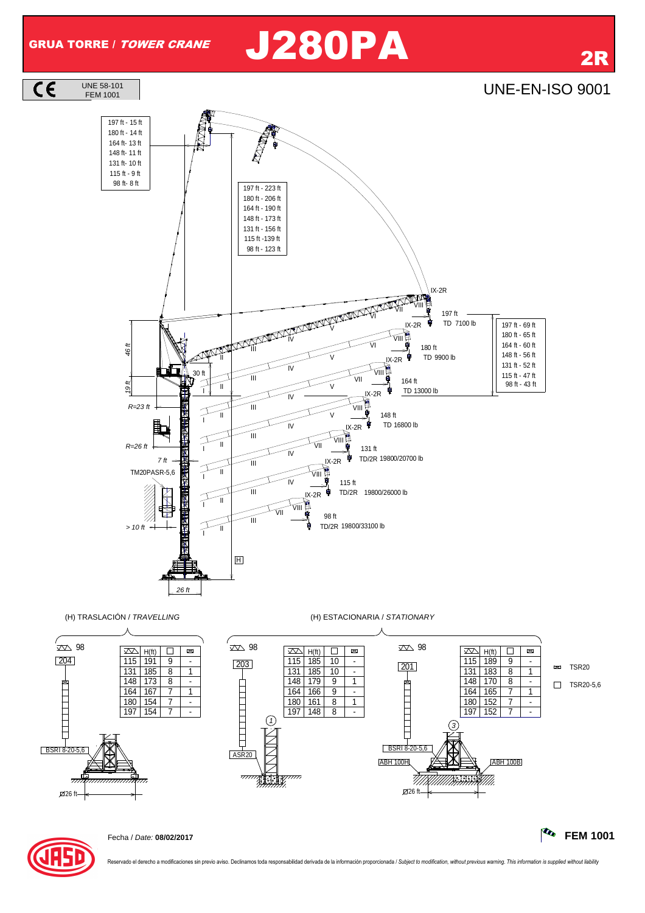$\overline{c}$ 

## GRUA TORRE / *TOWER CRANE* J280PA 2R





Reservado el derecho a modificaciones sin previo aviso. Declinamos toda responsabilidad derivada de la información proporcionada / Subject to modification, without previous warning. This information is supplied without lia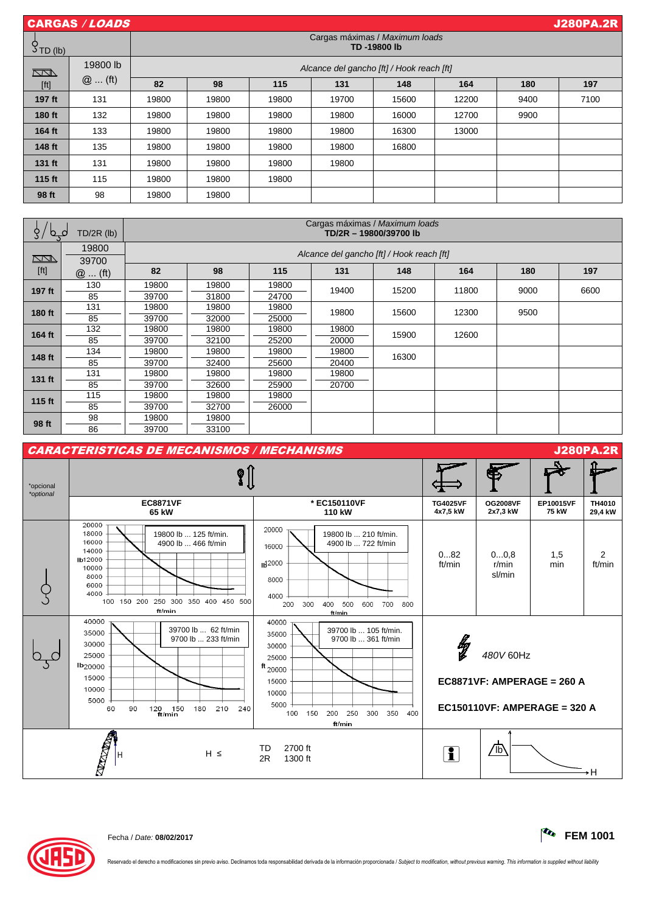| CARGAS / LOADS |          |                                               |       |       |       |       |       | <b>J280PA.2R</b> |      |
|----------------|----------|-----------------------------------------------|-------|-------|-------|-------|-------|------------------|------|
| $5$ TD (lb)    |          | Cargas máximas / Maximum loads<br>TD-19800 lb |       |       |       |       |       |                  |      |
| $\Box$         | 19800 lb | Alcance del gancho [ft] / Hook reach [ft]     |       |       |       |       |       |                  |      |
| [ft]           | $@$ (ft) | 82                                            | 98    | 115   | 131   | 148   | 164   | 180              | 197  |
| 197 ft         | 131      | 19800                                         | 19800 | 19800 | 19700 | 15600 | 12200 | 9400             | 7100 |
| 180 ft         | 132      | 19800                                         | 19800 | 19800 | 19800 | 16000 | 12700 | 9900             |      |
| 164 ft         | 133      | 19800                                         | 19800 | 19800 | 19800 | 16300 | 13000 |                  |      |
| 148 ft         | 135      | 19800                                         | 19800 | 19800 | 19800 | 16800 |       |                  |      |
| 131 ft         | 131      | 19800                                         | 19800 | 19800 | 19800 |       |       |                  |      |
| 115 ft         | 115      | 19800                                         | 19800 | 19800 |       |       |       |                  |      |
| 98 ft          | 98       | 19800                                         | 19800 |       |       |       |       |                  |      |

| $TD/2R$ (lb)<br>O.<br>$\mathbf C$                                                                                                                                                                                                                                                                                                                                                                                                                                                         |          | Cargas máximas / Maximum loads<br>TD/2R - 19800/39700 lb |       |       |       |       |       |      |      |  |
|-------------------------------------------------------------------------------------------------------------------------------------------------------------------------------------------------------------------------------------------------------------------------------------------------------------------------------------------------------------------------------------------------------------------------------------------------------------------------------------------|----------|----------------------------------------------------------|-------|-------|-------|-------|-------|------|------|--|
|                                                                                                                                                                                                                                                                                                                                                                                                                                                                                           | 19800    | Alcance del gancho [ft] / Hook reach [ft]                |       |       |       |       |       |      |      |  |
| $\sum\!N}$                                                                                                                                                                                                                                                                                                                                                                                                                                                                                | 39700    |                                                          |       |       |       |       |       |      |      |  |
| $[ft] \centering% \includegraphics[width=1.0\textwidth]{Figures/PN1000228_18_18_21.pdf} \includegraphics[width=1.0\textwidth]{Figures/PN100028_18_21.pdf} \includegraphics[width=1.0\textwidth]{Figures/PN100028_18_21.pdf} \includegraphics[width=1.0\textwidth]{Figures/PN100028_18_21.pdf} \includegraphics[width=1.0\textwidth]{Figures/PN100028_18_21.pdf} \includegraphics[width=1.0\textwidth]{Figures/PN100028_18_21.pdf} \includegraphics[width=1.0\textwidth]{Figures/PN100028$ | $@$ (ft) | 82                                                       | 98    | 115   | 131   | 148   | 164   | 180  | 197  |  |
| 197 ft                                                                                                                                                                                                                                                                                                                                                                                                                                                                                    | 130      | 19800                                                    | 19800 | 19800 | 19400 | 15200 | 11800 | 9000 | 6600 |  |
|                                                                                                                                                                                                                                                                                                                                                                                                                                                                                           | 85       | 39700                                                    | 31800 | 24700 |       |       |       |      |      |  |
| 180 ft                                                                                                                                                                                                                                                                                                                                                                                                                                                                                    | 131      | 19800                                                    | 19800 | 19800 | 19800 | 15600 | 12300 | 9500 |      |  |
|                                                                                                                                                                                                                                                                                                                                                                                                                                                                                           | 85       | 39700                                                    | 32000 | 25000 |       |       |       |      |      |  |
| 164 ft                                                                                                                                                                                                                                                                                                                                                                                                                                                                                    | 132      | 19800                                                    | 19800 | 19800 | 19800 | 15900 | 12600 |      |      |  |
|                                                                                                                                                                                                                                                                                                                                                                                                                                                                                           | 85       | 39700                                                    | 32100 | 25200 | 20000 |       |       |      |      |  |
| 148 ft                                                                                                                                                                                                                                                                                                                                                                                                                                                                                    | 134      | 19800                                                    | 19800 | 19800 | 19800 | 16300 |       |      |      |  |
|                                                                                                                                                                                                                                                                                                                                                                                                                                                                                           | 85       | 39700                                                    | 32400 | 25600 | 20400 |       |       |      |      |  |
| 131 ft                                                                                                                                                                                                                                                                                                                                                                                                                                                                                    | 131      | 19800                                                    | 19800 | 19800 | 19800 |       |       |      |      |  |
|                                                                                                                                                                                                                                                                                                                                                                                                                                                                                           | 85       | 39700                                                    | 32600 | 25900 | 20700 |       |       |      |      |  |
| 115 ft                                                                                                                                                                                                                                                                                                                                                                                                                                                                                    | 115      | 19800                                                    | 19800 | 19800 |       |       |       |      |      |  |
|                                                                                                                                                                                                                                                                                                                                                                                                                                                                                           | 85       | 39700                                                    | 32700 | 26000 |       |       |       |      |      |  |
| 98 ft                                                                                                                                                                                                                                                                                                                                                                                                                                                                                     | 98       | 19800                                                    | 19800 |       |       |       |       |      |      |  |
|                                                                                                                                                                                                                                                                                                                                                                                                                                                                                           | 86       | 39700                                                    | 33100 |       |       |       |       |      |      |  |





Reservado el derecho a modificaciones sin previo aviso. Declinamos toda responsabilidad derivada de la información proporcionada / Subject to modification, without previous warning. This information is supplied without lia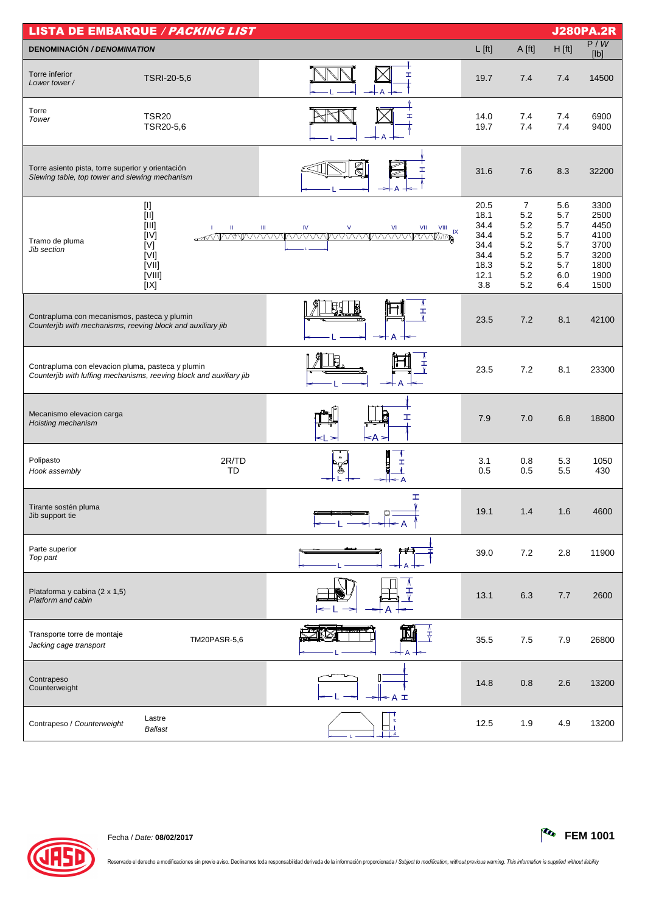| <b>LISTA DE EMBARQUE / PACKING LIST</b>                                                                     |                                                                                                                                                                                                                                                                                                                                                                                                                                                                           |                                                                                                    |                                                                     |                                                                        |                                                             |                                                                      |  |
|-------------------------------------------------------------------------------------------------------------|---------------------------------------------------------------------------------------------------------------------------------------------------------------------------------------------------------------------------------------------------------------------------------------------------------------------------------------------------------------------------------------------------------------------------------------------------------------------------|----------------------------------------------------------------------------------------------------|---------------------------------------------------------------------|------------------------------------------------------------------------|-------------------------------------------------------------|----------------------------------------------------------------------|--|
| <b>DENOMINACIÓN / DENOMINATION</b>                                                                          |                                                                                                                                                                                                                                                                                                                                                                                                                                                                           |                                                                                                    | $L$ [ft]                                                            | A [ft]                                                                 | $H$ [ft]                                                    | P/W<br>[Ib]                                                          |  |
| Torre inferior<br>Lower tower/                                                                              | TSRI-20-5,6                                                                                                                                                                                                                                                                                                                                                                                                                                                               | Ĩ.                                                                                                 | 19.7                                                                | 7.4                                                                    | 7.4                                                         | 14500                                                                |  |
| Torre<br>Tower                                                                                              | <b>TSR20</b><br>TSR20-5,6                                                                                                                                                                                                                                                                                                                                                                                                                                                 | Ĩ.                                                                                                 | 14.0<br>19.7                                                        | 7.4<br>7.4                                                             | 7.4<br>7.4                                                  | 6900<br>9400                                                         |  |
| Torre asiento pista, torre superior y orientación<br>Slewing table, top tower and slewing mechanism         |                                                                                                                                                                                                                                                                                                                                                                                                                                                                           | k<br>ェ                                                                                             | 31.6                                                                | 7.6                                                                    | 8.3                                                         | 32200                                                                |  |
| Tramo de pluma<br>Jib section                                                                               | $[1] % \centering \includegraphics[width=0.9\textwidth]{images/TrDiM-Architecture.png} % \caption{The first two different values of $S$ and $S$ is the same as in Figure \ref{fig:10}. The first two different values of $S$ is the same as in Figure \ref{fig:10}. The second two different values of $S$ is the same as in Figure \ref{fig:10}.} \label{fig:TrDiM-Architecture}$<br>$[11]$<br>$[III]$<br>$\rm H$<br>п.<br>[IV]<br>[V]<br>[V]<br>[VII]<br>[VIII]<br>[IX] | $\mathsf{V}$<br>$\mathsf{VI}$<br>Ш<br>IV<br>VII<br>$VIII$ $IX$<br>AVVYRVVVARVVVVARVVVARVVVVARVVVAR | 20.5<br>18.1<br>34.4<br>34.4<br>34.4<br>34.4<br>18.3<br>12.1<br>3.8 | $\overline{7}$<br>5.2<br>5.2<br>5.2<br>5.2<br>5.2<br>5.2<br>5.2<br>5.2 | 5.6<br>5.7<br>5.7<br>5.7<br>5.7<br>5.7<br>5.7<br>6.0<br>6.4 | 3300<br>2500<br>4450<br>4100<br>3700<br>3200<br>1800<br>1900<br>1500 |  |
| Contrapluma con mecanismos, pasteca y plumin<br>Counterjib with mechanisms, reeving block and auxiliary jib |                                                                                                                                                                                                                                                                                                                                                                                                                                                                           | ₹<br>A                                                                                             | 23.5                                                                | 7.2                                                                    | 8.1                                                         | 42100                                                                |  |
| Contrapluma con elevacion pluma, pasteca y plumin                                                           | Counterjib with luffing mechanisms, reeving block and auxiliary jib                                                                                                                                                                                                                                                                                                                                                                                                       | Λ<br>$\frac{1}{\sqrt{2}}$                                                                          | 23.5                                                                | 7.2                                                                    | 8.1                                                         | 23300                                                                |  |
| Mecanismo elevacion carga<br>Hoisting mechanism                                                             |                                                                                                                                                                                                                                                                                                                                                                                                                                                                           | ェ<br>$\leq$ A $\geq$<br><∣ ≻                                                                       | 7.9                                                                 | 7.0                                                                    | 6.8                                                         | 18800                                                                |  |
| Polipasto<br>Hook assembly                                                                                  | 2R/TD<br>TD                                                                                                                                                                                                                                                                                                                                                                                                                                                               |                                                                                                    | 3.1<br>0.5                                                          | 0.8<br>0.5                                                             | 5.3<br>5.5                                                  | 1050<br>430                                                          |  |
| Tirante sostén pluma<br>Jib support tie                                                                     |                                                                                                                                                                                                                                                                                                                                                                                                                                                                           | I<br>Ŵ                                                                                             | 19.1                                                                | 1.4                                                                    | 1.6                                                         | 4600                                                                 |  |
| Parte superior<br>Top part                                                                                  |                                                                                                                                                                                                                                                                                                                                                                                                                                                                           | بطنبه                                                                                              | 39.0                                                                | 7.2                                                                    | 2.8                                                         | 11900                                                                |  |
| Plataforma y cabina (2 x 1,5)<br>Platform and cabin                                                         |                                                                                                                                                                                                                                                                                                                                                                                                                                                                           | ェ                                                                                                  | 13.1                                                                | 6.3                                                                    | 7.7                                                         | 2600                                                                 |  |
| Transporte torre de montaje<br>Jacking cage transport                                                       | TM20PASR-5,6                                                                                                                                                                                                                                                                                                                                                                                                                                                              | $\frac{1}{\tau}$                                                                                   | 35.5                                                                | 7.5                                                                    | 7.9                                                         | 26800                                                                |  |
| Contrapeso<br>Counterweight                                                                                 |                                                                                                                                                                                                                                                                                                                                                                                                                                                                           | ╫╾Aェ                                                                                               | 14.8                                                                | 0.8                                                                    | 2.6                                                         | 13200                                                                |  |
| Contrapeso / Counterweight                                                                                  | Lastre<br><b>Ballast</b>                                                                                                                                                                                                                                                                                                                                                                                                                                                  | x                                                                                                  | 12.5                                                                | 1.9                                                                    | 4.9                                                         | 13200                                                                |  |



Reservado el derecho a modificaciones sin previo aviso. Declinamos toda responsabilidad derivada de la información proporcionada / Subject to modification, without previous warning. This information is supplied without lia